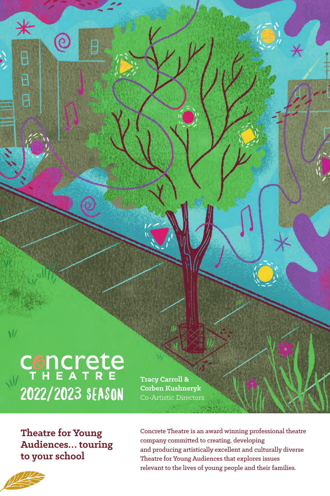CONCLETE 2022/2023 Season

**Tracy Carroll & Corben Kushneryk** Co-Artistic Directors

**Theatre for Young Audiences… touring to your school**

Concrete Theatre is an award winning professional theatre company committed to creating, developing and producing artistically excellent and culturally diverse Theatre for Young Audiences that explores issues relevant to the lives of young people and their families.



 $\sqrt{ }$ 

⋇

θ

 $\overline{B}$ 

é

ē